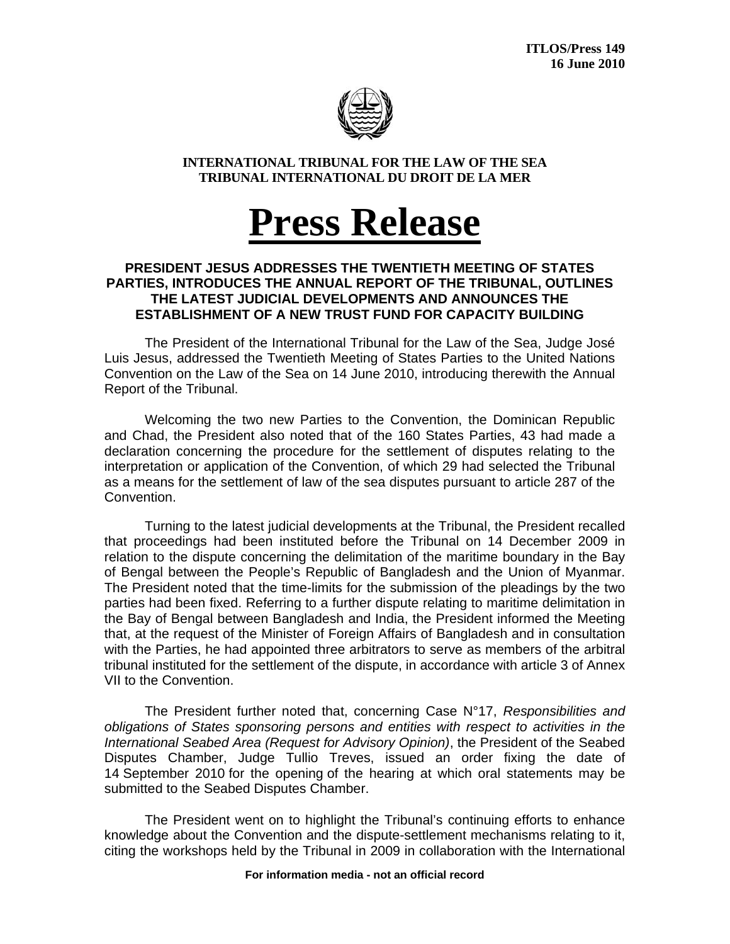

## **INTERNATIONAL TRIBUNAL FOR THE LAW OF THE SEA TRIBUNAL INTERNATIONAL DU DROIT DE LA MER**

## **Press Release**

## **PRESIDENT JESUS ADDRESSES THE TWENTIETH MEETING OF STATES PARTIES, INTRODUCES THE ANNUAL REPORT OF THE TRIBUNAL, OUTLINES THE LATEST JUDICIAL DEVELOPMENTS AND ANNOUNCES THE ESTABLISHMENT OF A NEW TRUST FUND FOR CAPACITY BUILDING**

The President of the International Tribunal for the Law of the Sea, Judge José Luis Jesus, addressed the Twentieth Meeting of States Parties to the United Nations Convention on the Law of the Sea on 14 June 2010, introducing therewith the Annual Report of the Tribunal.

 Welcoming the two new Parties to the Convention, the Dominican Republic and Chad, the President also noted that of the 160 States Parties, 43 had made a declaration concerning the procedure for the settlement of disputes relating to the interpretation or application of the Convention, of which 29 had selected the Tribunal as a means for the settlement of law of the sea disputes pursuant to article 287 of the Convention.

Turning to the latest judicial developments at the Tribunal, the President recalled that proceedings had been instituted before the Tribunal on 14 December 2009 in relation to the dispute concerning the delimitation of the maritime boundary in the Bay of Bengal between the People's Republic of Bangladesh and the Union of Myanmar. The President noted that the time-limits for the submission of the pleadings by the two parties had been fixed. Referring to a further dispute relating to maritime delimitation in the Bay of Bengal between Bangladesh and India, the President informed the Meeting that, at the request of the Minister of Foreign Affairs of Bangladesh and in consultation with the Parties, he had appointed three arbitrators to serve as members of the arbitral tribunal instituted for the settlement of the dispute, in accordance with article 3 of Annex VII to the Convention.

The President further noted that, concerning Case N°17, *Responsibilities and obligations of States sponsoring persons and entities with respect to activities in the International Seabed Area (Request for Advisory Opinion)*, the President of the Seabed Disputes Chamber, Judge Tullio Treves, issued an order fixing the date of 14 September 2010 for the opening of the hearing at which oral statements may be submitted to the Seabed Disputes Chamber.

The President went on to highlight the Tribunal's continuing efforts to enhance knowledge about the Convention and the dispute-settlement mechanisms relating to it, citing the workshops held by the Tribunal in 2009 in collaboration with the International